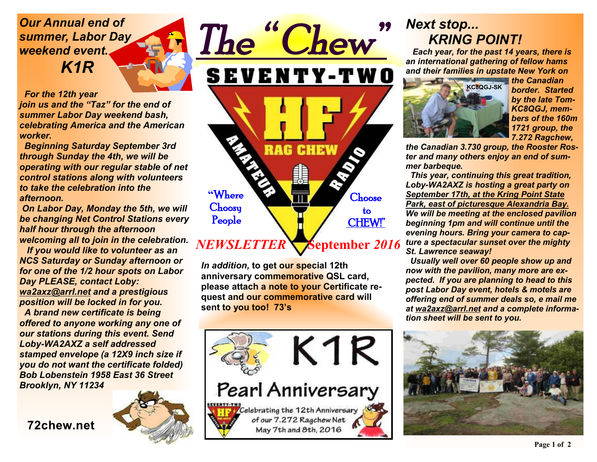#### *Our Annual end of summer, Labor Day weekend event. K1R*

 *For the 12th year* 

*join us and the "Taz" for the end of summer Labor Day weekend bash, celebrating America and the American worker.* 

 *Beginning Saturday September 3rd through Sunday the 4th, we will be operating with our regular stable of net control stations along with volunteers to take the celebration into the afternoon.* 

 *On Labor Day, Monday the 5th, we will be changing Net Control Stations every half hour through the afternoon welcoming all to join in the celebration.* 

 *If you would like to volunteer as an NCS Saturday or Sunday afternoon or for one of the 1/2 hour spots on Labor Day PLEASE, contact Loby: wa2axz@arrl.net and a prestigious position will be locked in for you.* 

 *A brand new certificate is being offered to anyone working any one of our stations during this event. Send Loby-WA2AXZ a self addressed stamped envelope (a 12X9 inch size if you do not want the certificate folded) Bob Lobenstein 1958 East 36 Street Brooklyn, NY 11234* 

**72chew.net**





*In addition,* **to get our special 12th anniversary commemorative QSL card, please attach a note to your Certificate request and our commemorative card will sent to you too! 73's** 



#### *Next stop... KRING POINT!*

*Each year, for the past 14 years, there is an international gathering of fellow hams and their families in upstate New York on* 



*the Canadian border. Started by the late Tom-KC8QGJ, members of the 160m 1721 group, the 7.272 Ragchew,* 

*the Canadian 3.730 group, the Rooster Roster and many others enjoy an end of summer barbeque.* 

 *This year, continuing this great tradition, Loby-WA2AXZ is hosting a great party on September 17th, at the Kring Point State Park, east of picturesque Alexandria Bay. We will be meeting at the enclosed pavilion beginning 1pm and will continue until the evening hours. Bring your camera to capture a spectacular sunset over the mighty St. Lawrence seaway!* 

 *Usually well over 60 people show up and now with the pavilion, many more are expected. If you are planning to head to this post Labor Day event, hotels & motels are offering end of summer deals so, e mail me at wa2axz@arrl.net and a complete information sheet will be sent to you.*